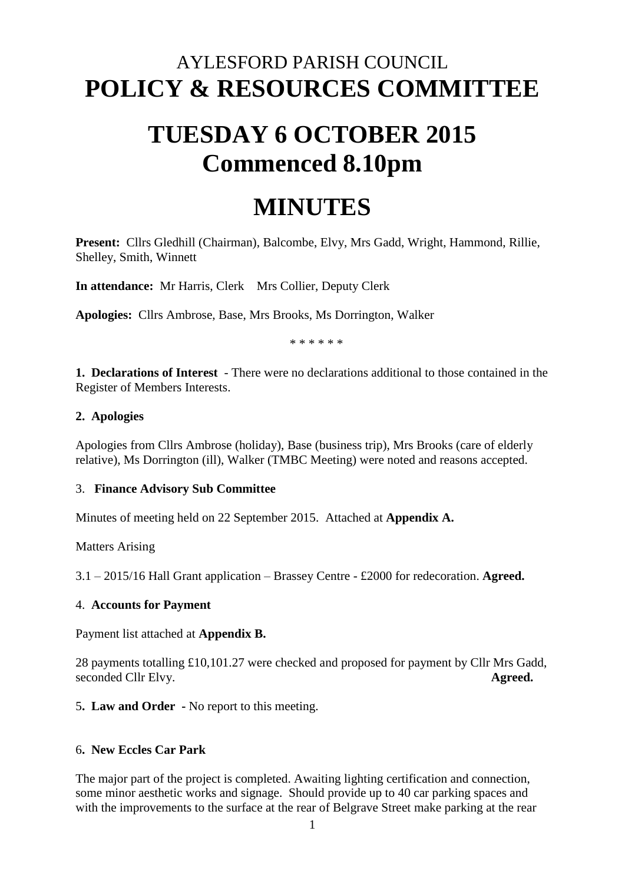# AYLESFORD PARISH COUNCIL **POLICY & RESOURCES COMMITTEE**

# **TUESDAY 6 OCTOBER 2015 Commenced 8.10pm**

# **MINUTES**

**Present:** Cllrs Gledhill (Chairman), Balcombe, Elvy, Mrs Gadd, Wright, Hammond, Rillie, Shelley, Smith, Winnett

**In attendance:** Mr Harris, Clerk Mrs Collier, Deputy Clerk

**Apologies:** Cllrs Ambrose, Base, Mrs Brooks, Ms Dorrington, Walker

\* \* \* \* \* \*

**1. Declarations of Interest** - There were no declarations additional to those contained in the Register of Members Interests.

#### **2. Apologies**

Apologies from Cllrs Ambrose (holiday), Base (business trip), Mrs Brooks (care of elderly relative), Ms Dorrington (ill), Walker (TMBC Meeting) were noted and reasons accepted.

#### 3. **Finance Advisory Sub Committee**

Minutes of meeting held on 22 September 2015. Attached at **Appendix A.** 

Matters Arising

3.1 – 2015/16 Hall Grant application – Brassey Centre - £2000 for redecoration. **Agreed.**

#### 4. **Accounts for Payment**

Payment list attached at **Appendix B.** 

28 payments totalling £10,101.27 were checked and proposed for payment by Cllr Mrs Gadd, seconded Cllr Elvy. **Agreed.** 

5**. Law and Order -** No report to this meeting.

## 6**. New Eccles Car Park**

The major part of the project is completed. Awaiting lighting certification and connection, some minor aesthetic works and signage. Should provide up to 40 car parking spaces and with the improvements to the surface at the rear of Belgrave Street make parking at the rear